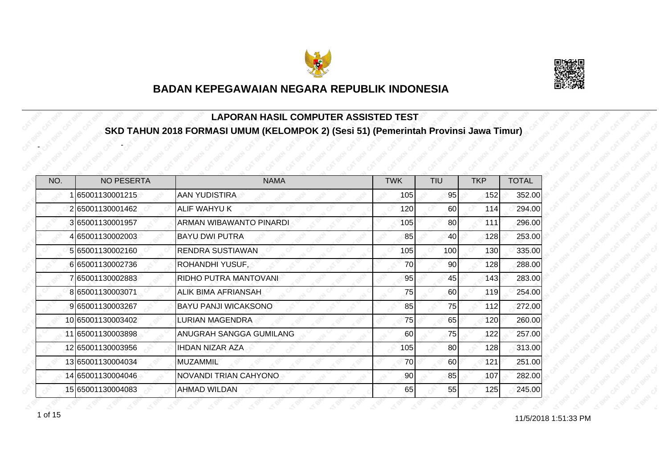



#### **LAPORAN HASIL COMPUTER ASSISTED TEST SKD TAHUN 2018 FORMASI UMUM (KELOMPOK 2) (Sesi 51) (Pemerintah Provinsi Jawa Timur)**

| NO. | <b>NO PESERTA</b> | <b>NAMA</b>                  | <b>TWK</b> | <b>TIU</b> | <b>TKP</b> | <b>TOTAL</b> |
|-----|-------------------|------------------------------|------------|------------|------------|--------------|
|     | 65001130001215    | <b>AAN YUDISTIRA</b>         | 105        | 95         | 152        | 352.00       |
|     | 2 65001130001462  | <b>ALIF WAHYU K</b>          | 120        | 60         | 114        | 294.00       |
|     | 365001130001957   | ARMAN WIBAWANTO PINARDI      | 105        | 80         | 111        | 296.00       |
|     | 65001130002003    | <b>BAYU DWI PUTRA</b>        | 85         | 40         | 128        | 253.00       |
|     | 5 65001130002160  | <b>RENDRA SUSTIAWAN</b>      | 105        | 100        | 130        | 335.00       |
|     | 6 65001130002736  | ROHANDHI YUSUF,              | 70         | 90         | 128        | 288.00       |
|     | 765001130002883   | RIDHO PUTRA MANTOVANI        | 95         | 45         | 143        | 283.00       |
|     | 8 65001130003071  | ALIK BIMA AFRIANSAH          | 75         | 60         | 119        | 254.00       |
|     | 965001130003267   | <b>BAYU PANJI WICAKSONO</b>  | 85         | 75         | 112        | 272.00       |
|     | 10 65001130003402 | <b>LURIAN MAGENDRA</b>       | 75         | 65         | 120        | 260.00       |
|     | 11 65001130003898 | ANUGRAH SANGGA GUMILANG      | 60         | 75         | 122        | 257.00       |
|     | 12 65001130003956 | <b>IHDAN NIZAR AZA</b>       | 105        | 80         | 128        | 313.00       |
|     | 13 65001130004034 | <b>MUZAMMIL</b>              | 70         | 60         | 121        | 251.00       |
|     | 14 65001130004046 | <b>NOVANDI TRIAN CAHYONO</b> | 90         | 85         | 107        | 282.00       |
|     | 15 65001130004083 | AHMAD WILDAN                 | 65         | 55         | 125        | 245.00       |

-

-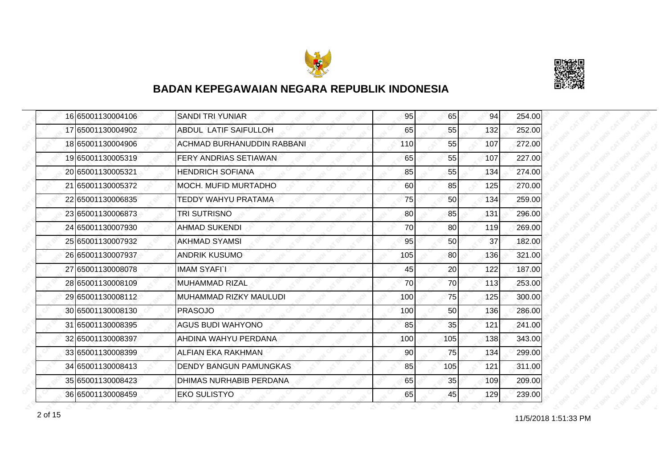



|  | 16 65001130004106 | <b>SANDI TRI YUNIAR</b>      | 95  | 65  | 94  | 254.00 |
|--|-------------------|------------------------------|-----|-----|-----|--------|
|  | 17 65001130004902 | <b>ABDUL LATIF SAIFULLOH</b> | 65  | 55  | 132 | 252.00 |
|  | 18 65001130004906 | ACHMAD BURHANUDDIN RABBANI   | 110 | 55  | 107 | 272.00 |
|  | 1965001130005319  | <b>FERY ANDRIAS SETIAWAN</b> | 65  | 55  | 107 | 227.00 |
|  | 20 65001130005321 | <b>HENDRICH SOFIANA</b>      | 85  | 55  | 134 | 274.00 |
|  | 21 65001130005372 | <b>MOCH. MUFID MURTADHO</b>  | 60  | 85  | 125 | 270.00 |
|  | 22 65001130006835 | TEDDY WAHYU PRATAMA          | 75  | 50  | 134 | 259.00 |
|  | 23 65001130006873 | TRI SUTRISNO                 | 80  | 85  | 131 | 296.00 |
|  | 24 65001130007930 | <b>AHMAD SUKENDI</b>         | 70  | 80  | 119 | 269.00 |
|  | 25 65001130007932 | <b>AKHMAD SYAMSI</b>         | 95  | 50  | 37  | 182.00 |
|  | 26 65001130007937 | <b>ANDRIK KUSUMO</b>         | 105 | 80  | 136 | 321.00 |
|  | 27 65001130008078 | <b>IMAM SYAFIT</b>           | 45  | 20  | 122 | 187.00 |
|  | 28 65001130008109 | <b>MUHAMMAD RIZAL</b>        | 70  | 70  | 113 | 253.00 |
|  | 29 65001130008112 | MUHAMMAD RIZKY MAULUDI       | 100 | 75  | 125 | 300.00 |
|  | 30 65001130008130 | <b>PRASOJO</b>               | 100 | 50  | 136 | 286.00 |
|  | 31 65001130008395 | <b>AGUS BUDI WAHYONO</b>     | 85  | 35  | 121 | 241.00 |
|  | 32 65001130008397 | AHDINA WAHYU PERDANA         | 100 | 105 | 138 | 343.00 |
|  | 33 65001130008399 | <b>ALFIAN EKA RAKHMAN</b>    | 90  | 75  | 134 | 299.00 |
|  | 34 65001130008413 | DENDY BANGUN PAMUNGKAS       | 85  | 105 | 121 | 311.00 |
|  | 35 65001130008423 | DHIMAS NURHABIB PERDANA      | 65  | 35  | 109 | 209.00 |
|  | 36 65001130008459 | <b>EKO SULISTYO</b>          | 65  | 45  | 129 | 239.00 |

11/5/2018 1:51:33 PM 2 of 15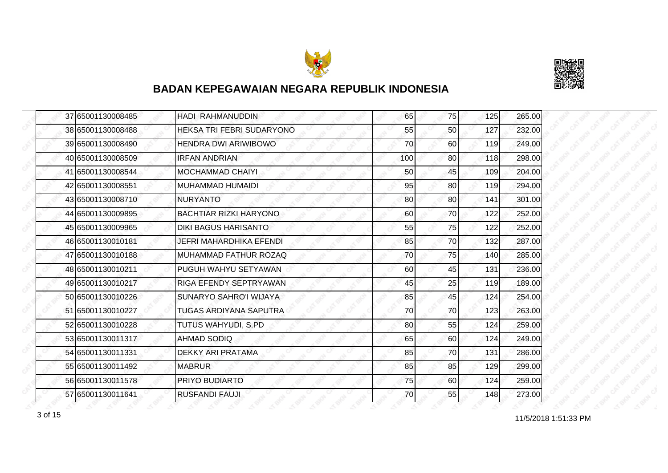



|  | 37 65001130008485 | HADI RAHMANUDDIN              | 65  | 75 | 125 | 265.00 |
|--|-------------------|-------------------------------|-----|----|-----|--------|
|  | 38 65001130008488 | HEKSA TRI FEBRI SUDARYONO     | 55  | 50 | 127 | 232.00 |
|  | 39 65001130008490 | <b>HENDRA DWI ARIWIBOWO</b>   | 70  | 60 | 119 | 249.00 |
|  | 40 65001130008509 | <b>IRFAN ANDRIAN</b>          | 100 | 80 | 118 | 298.00 |
|  | 41 65001130008544 | <b>MOCHAMMAD CHAIYI</b>       | 50  | 45 | 109 | 204.00 |
|  | 42 65001130008551 | MUHAMMAD HUMAIDI              | 95  | 80 | 119 | 294.00 |
|  | 43 65001130008710 | <b>NURYANTO</b>               | 80  | 80 | 141 | 301.00 |
|  | 44 65001130009895 | <b>BACHTIAR RIZKI HARYONO</b> | 60  | 70 | 122 | 252.00 |
|  | 45 65001130009965 | <b>DIKI BAGUS HARISANTO</b>   | 55  | 75 | 122 | 252.00 |
|  | 46 65001130010181 | JEFRI MAHARDHIKA EFENDI       | 85  | 70 | 132 | 287.00 |
|  | 47 65001130010188 | MUHAMMAD FATHUR ROZAQ         | 70  | 75 | 140 | 285.00 |
|  | 48 65001130010211 | PUGUH WAHYU SETYAWAN          | 60  | 45 | 131 | 236.00 |
|  | 49 65001130010217 | <b>RIGA EFENDY SEPTRYAWAN</b> | 45  | 25 | 119 | 189.00 |
|  | 50 65001130010226 | <b>SUNARYO SAHRO'I WIJAYA</b> | 85  | 45 | 124 | 254.00 |
|  | 51 65001130010227 | TUGAS ARDIYANA SAPUTRA        | 70  | 70 | 123 | 263.00 |
|  | 52 65001130010228 | TUTUS WAHYUDI, S.PD           | 80  | 55 | 124 | 259.00 |
|  | 53 65001130011317 | <b>AHMAD SODIQ</b>            | 65  | 60 | 124 | 249.00 |
|  | 54 65001130011331 | <b>DEKKY ARI PRATAMA</b>      | 85  | 70 | 131 | 286.00 |
|  | 55 65001130011492 | <b>MABRUR</b>                 | 85  | 85 | 129 | 299.00 |
|  | 56 65001130011578 | <b>PRIYO BUDIARTO</b>         | 75  | 60 | 124 | 259.00 |
|  | 57 65001130011641 | <b>RUSFANDI FAUJI</b>         | 70  | 55 | 148 | 273.00 |

 $3 \text{ of } 15$  11/5/2018 1:51:33 PM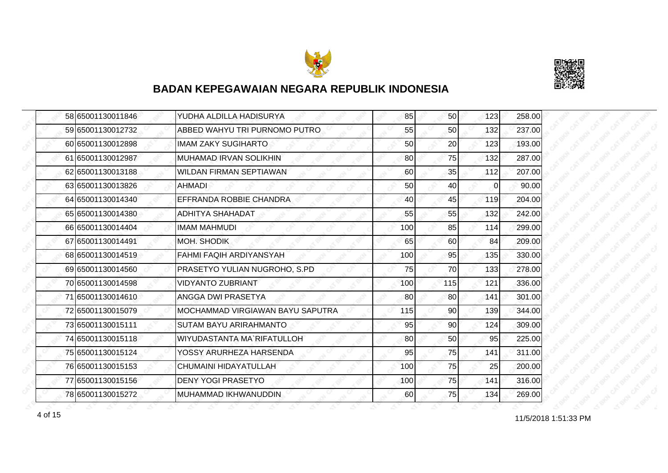



| 58 65001130011846 | YUDHA ALDILLA HADISURYA          | 85  | 50  | 123      | 258.00 |
|-------------------|----------------------------------|-----|-----|----------|--------|
| 59 65001130012732 | ABBED WAHYU TRI PURNOMO PUTRO    | 55  | 50  | 132      | 237.00 |
| 60 65001130012898 | <b>IMAM ZAKY SUGIHARTO</b>       | 50  | 20  | 123      | 193.00 |
| 61 65001130012987 | <b>MUHAMAD IRVAN SOLIKHIN</b>    | 80  | 75  | 132      | 287.00 |
| 62 65001130013188 | WILDAN FIRMAN SEPTIAWAN          | 60  | 35  | 112      | 207.00 |
| 63 65001130013826 | AHMADI                           | 50  | 40  | $\Omega$ | 90.00  |
| 64 65001130014340 | EFFRANDA ROBBIE CHANDRA          | 40  | 45  | 119      | 204.00 |
| 65 65001130014380 | <b>ADHITYA SHAHADAT</b>          | 55  | 55  | 132      | 242.00 |
| 66 65001130014404 | <b>IMAM MAHMUDI</b>              | 100 | 85  | 114      | 299.00 |
| 67 65001130014491 | MOH. SHODIK                      | 65  | 60  | 84       | 209.00 |
| 68 65001130014519 | FAHMI FAQIH ARDIYANSYAH          | 100 | 95  | 135      | 330.00 |
| 69 65001130014560 | PRASETYO YULIAN NUGROHO, S.PD    | 75  | 70  | 133      | 278.00 |
| 70 65001130014598 | <b>VIDYANTO ZUBRIANT</b>         | 100 | 115 | 121      | 336.00 |
| 71 65001130014610 | ANGGA DWI PRASETYA               | 80  | 80  | 141      | 301.00 |
| 72 65001130015079 | MOCHAMMAD VIRGIAWAN BAYU SAPUTRA | 115 | 90  | 139      | 344.00 |
| 73 65001130015111 | <b>SUTAM BAYU ARIRAHMANTO</b>    | 95  | 90  | 124      | 309.00 |
| 74 65001130015118 | WIYUDASTANTA MA`RIFATULLOH       | 80  | 50  | 95       | 225.00 |
| 75 65001130015124 | YOSSY ARURHEZA HARSENDA          | 95  | 75  | 141      | 311.00 |
| 76 65001130015153 | CHUMAINI HIDAYATULLAH            | 100 | 75  | 25       | 200.00 |
| 77 65001130015156 | <b>DENY YOGI PRASETYO</b>        | 100 | 75  | 141      | 316.00 |
| 78 65001130015272 | MUHAMMAD IKHWANUDDIN.            | 60  | 75  | 134      | 269.00 |

11/5/2018 1:51:33 PM 4 of 15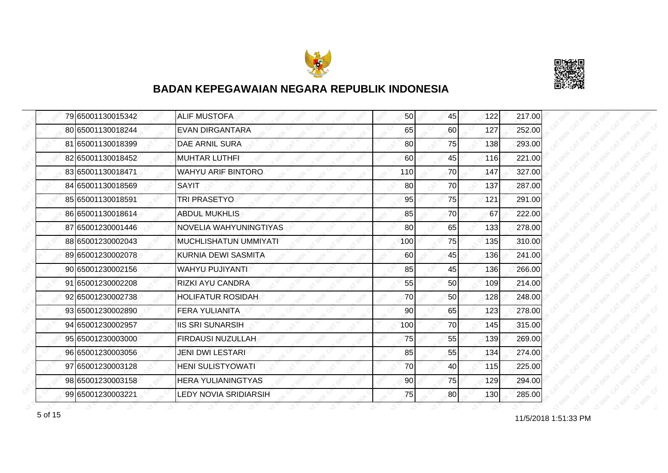



|  | 79 65001130015342 | <b>ALIF MUSTOFA</b>       | 50 <sup>1</sup> | 45 | 122 | 217.00 |
|--|-------------------|---------------------------|-----------------|----|-----|--------|
|  | 80 65001130018244 | <b>EVAN DIRGANTARA</b>    | 65              | 60 | 127 | 252.00 |
|  | 81 65001130018399 | <b>DAE ARNIL SURA</b>     | 80              | 75 | 138 | 293.00 |
|  | 82 65001130018452 | <b>MUHTAR LUTHFI</b>      | 60              | 45 | 116 | 221.00 |
|  | 83 65001130018471 | <b>WAHYU ARIF BINTORO</b> | 110             | 70 | 147 | 327.00 |
|  | 84 65001130018569 | <b>SAYIT</b>              | 80              | 70 | 137 | 287.00 |
|  | 85 65001130018591 | TRI PRASETYO              | 95              | 75 | 121 | 291.00 |
|  | 86 65001130018614 | <b>ABDUL MUKHLIS</b>      | 85              | 70 | 67  | 222.00 |
|  | 87 65001230001446 | NOVELIA WAHYUNINGTIYAS    | 80              | 65 | 133 | 278.00 |
|  | 88 65001230002043 | MUCHLISHATUN UMMIYATI     | 100             | 75 | 135 | 310.00 |
|  | 89 65001230002078 | KURNIA DEWI SASMITA       | 60              | 45 | 136 | 241.00 |
|  | 90 65001230002156 | WAHYU PUJIYANTI           | 85              | 45 | 136 | 266.00 |
|  | 91 65001230002208 | RIZKI AYU CANDRA          | 55              | 50 | 109 | 214.00 |
|  | 92 65001230002738 | <b>HOLIFATUR ROSIDAH</b>  | 70              | 50 | 128 | 248.00 |
|  | 93 65001230002890 | <b>FERA YULIANITA</b>     | 90              | 65 | 123 | 278.00 |
|  | 94 65001230002957 | <b>IIS SRI SUNARSIH</b>   | 100             | 70 | 145 | 315.00 |
|  | 95 65001230003000 | FIRDAUSI NUZULLAH         | 75              | 55 | 139 | 269.00 |
|  | 96 65001230003056 | <b>JENI DWI LESTARI</b>   | 85              | 55 | 134 | 274.00 |
|  | 97 65001230003128 | <b>HENI SULISTYOWATI</b>  | 70              | 40 | 115 | 225.00 |
|  | 98 65001230003158 | <b>HERA YULIANINGTYAS</b> | 90              | 75 | 129 | 294.00 |
|  | 99 65001230003221 | LEDY NOVIA SRIDIARSIH     | 75              | 80 | 130 | 285.00 |

 $11/5/2018$  1:51:33 PM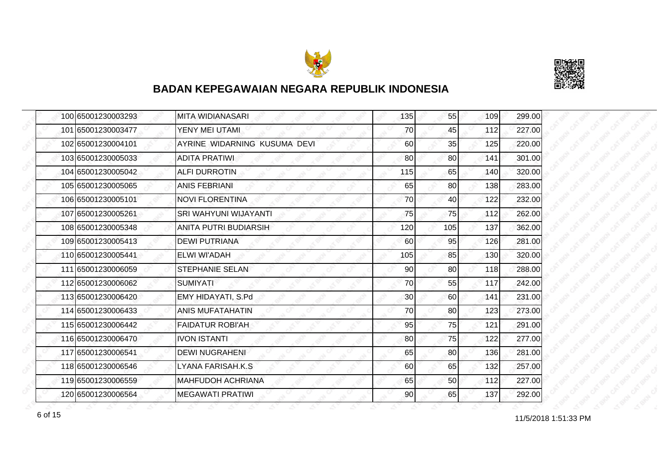



| 100 65001230003293 | <b>MITA WIDIANASARI</b>      | 135 | 55  | 109 | 299.00 |
|--------------------|------------------------------|-----|-----|-----|--------|
| 101 65001230003477 | YENY MEI UTAMI               | 70  | 45  | 112 | 227.00 |
| 102 65001230004101 | AYRINE WIDARNING KUSUMA DEVI | 60  | 35  | 125 | 220.00 |
| 103 65001230005033 | <b>ADITA PRATIWI</b>         | 80  | 80  | 141 | 301.00 |
| 104 65001230005042 | <b>ALFI DURROTIN</b>         | 115 | 65  | 140 | 320.00 |
| 105 65001230005065 | <b>ANIS FEBRIANI</b>         | 65  | 80  | 138 | 283.00 |
| 106 65001230005101 | <b>NOVI FLORENTINA</b>       | 70  | 40  | 122 | 232.00 |
| 107 65001230005261 | SRI WAHYUNI WIJAYANTI        | 75  | 75  | 112 | 262.00 |
| 108 65001230005348 | <b>ANITA PUTRI BUDIARSIH</b> | 120 | 105 | 137 | 362.00 |
| 109 65001230005413 | <b>DEWI PUTRIANA</b>         | 60  | 95  | 126 | 281.00 |
| 110 65001230005441 | ELWI WI'ADAH                 | 105 | 85  | 130 | 320.00 |
| 111 65001230006059 | <b>STEPHANIE SELAN</b>       | 90  | 80  | 118 | 288.00 |
| 112 65001230006062 | <b>SUMIYATI</b>              | 70  | 55  | 117 | 242.00 |
| 113 65001230006420 | EMY HIDAYATI, S.Pd           | 30  | 60  | 141 | 231.00 |
| 114 65001230006433 | ANIS MUFATAHATIN             | 70  | 80  | 123 | 273.00 |
| 115 65001230006442 | <b>FAIDATUR ROBI'AH</b>      | 95  | 75  | 121 | 291.00 |
| 116 65001230006470 | <b>IVON ISTANTI</b>          | 80  | 75  | 122 | 277.00 |
| 117 65001230006541 | <b>DEWI NUGRAHENI</b>        | 65  | 80  | 136 | 281.00 |
| 118 65001230006546 | LYANA FARISAH.K.S            | 60  | 65  | 132 | 257.00 |
| 119 65001230006559 | <b>MAHFUDOH ACHRIANA</b>     | 65  | 50  | 112 | 227.00 |
| 120 65001230006564 | <b>MEGAWATI PRATIWI</b>      | 90  | 65  | 137 | 292.00 |

11/5/2018 1:51:33 PM 6 of 15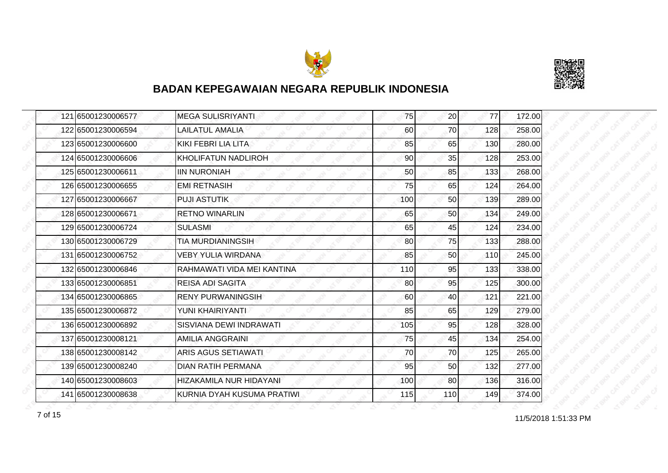



| 121 65001230006577 | <b>MEGA SULISRIYANTI</b>   | 75  | 20  | 77  | 172.00 |
|--------------------|----------------------------|-----|-----|-----|--------|
| 122 65001230006594 | <b>LAILATUL AMALIA</b>     | 60  | 70  | 128 | 258.00 |
| 123165001230006600 | KIKI FEBRI LIA LITA        | 85  | 65  | 130 | 280.00 |
| 124 65001230006606 | KHOLIFATUN NADLIROH        | 90  | 35  | 128 | 253.00 |
| 125 65001230006611 | <b>IIN NURONIAH</b>        | 50  | 85  | 133 | 268.00 |
| 126 65001230006655 | <b>EMI RETNASIH</b>        | 75  | 65  | 124 | 264.00 |
| 127 65001230006667 | <b>PUJI ASTUTIK</b>        | 100 | 50  | 139 | 289.00 |
| 128 65001230006671 | <b>RETNO WINARLIN</b>      | 65  | 50  | 134 | 249.00 |
| 129 65001230006724 | <b>SULASMI</b>             | 65  | 45  | 124 | 234.00 |
| 130 65001230006729 | <b>TIA MURDIANINGSIH</b>   | 80  | 75  | 133 | 288.00 |
| 131 65001230006752 | <b>VEBY YULIA WIRDANA</b>  | 85  | 50  | 110 | 245.00 |
| 132 65001230006846 | RAHMAWATI VIDA MEI KANTINA | 110 | 95  | 133 | 338.00 |
| 133 65001230006851 | <b>REISA ADI SAGITA</b>    | 80  | 95  | 125 | 300.00 |
| 134 65001230006865 | <b>RENY PURWANINGSIH</b>   | 60  | 40  | 121 | 221.00 |
| 135 65001230006872 | YUNI KHAIRIYANTI           | 85  | 65  | 129 | 279.00 |
| 136 65001230006892 | SISVIANA DEWI INDRAWATI    | 105 | 95  | 128 | 328.00 |
| 137 65001230008121 | <b>AMILIA ANGGRAINI</b>    | 75  | 45  | 134 | 254.00 |
| 138 65001230008142 | <b>ARIS AGUS SETIAWATI</b> | 70  | 70  | 125 | 265.00 |
| 139 65001230008240 | <b>DIAN RATIH PERMANA</b>  | 95  | 50  | 132 | 277.00 |
| 140 65001230008603 | HIZAKAMILA NUR HIDAYANI    | 100 | 80  | 136 | 316.00 |
| 141 65001230008638 | KURNIA DYAH KUSUMA PRATIWI | 115 | 110 | 149 | 374.00 |

11/5/2018 1:51:33 PM 7 of 15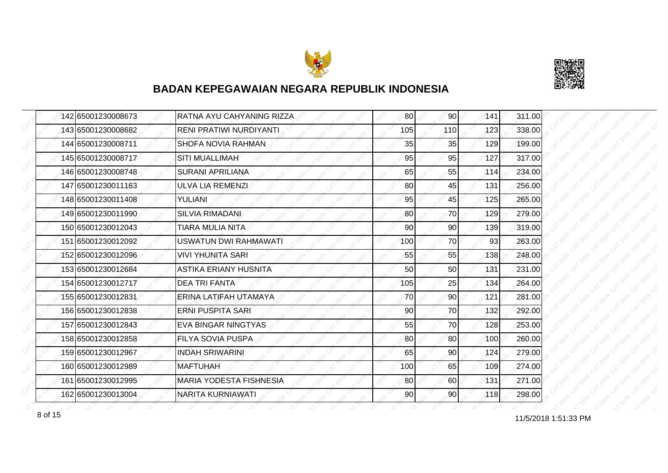



| 142 65001230008673 | RATNA AYU CAHYANING RIZZA      | 80  | 90        | 141 | 311.00 |
|--------------------|--------------------------------|-----|-----------|-----|--------|
| 143 65001230008682 | RENI PRATIWI NURDIYANTI        | 105 | 110       | 123 | 338.00 |
| 144 65001230008711 | SHOFA NOVIA RAHMAN             | 35  | 35        | 129 | 199.00 |
| 145 65001230008717 | <b>SITI MUALLIMAH</b>          | 95  | 95        | 127 | 317.00 |
| 146 65001230008748 | <b>SURANI APRILIANA</b>        | 65  | 55        | 114 | 234.00 |
| 147 65001230011163 | <b>ULVA LIA REMENZI</b>        | 80  | 45        | 131 | 256.00 |
| 148 65001230011408 | YULIANI                        | 95  | 45        | 125 | 265.00 |
| 149 65001230011990 | <b>SILVIA RIMADANI</b>         | 80  | 70        | 129 | 279.00 |
| 150 65001230012043 | TIARA MULIA NITA               | 90  | 90        | 139 | 319.00 |
| 151 65001230012092 | <b>USWATUN DWI RAHMAWATI</b>   | 100 | 70        | 93  | 263.00 |
| 152 65001230012096 | <b>VIVI YHUNITA SARI</b>       | 55  | 55        | 138 | 248.00 |
| 153 65001230012684 | ASTIKA ERIANY HUSNITA          | 50  | 50        | 131 | 231.00 |
| 154 65001230012717 | <b>DEA TRI FANTA</b>           | 105 | 25        | 134 | 264.00 |
| 155 65001230012831 | ERINA LATIFAH UTAMAYA          | 70  | 90        | 121 | 281.00 |
| 156 65001230012838 | <b>ERNI PUSPITA SARI</b>       | 90  | 70        | 132 | 292.00 |
| 157 65001230012843 | EVA BINGAR NINGTYAS            | 55  | 70        | 128 | 253.00 |
| 158 65001230012858 | <b>FILYA SOVIA PUSPA</b>       | 80  | 80        | 100 | 260.00 |
| 159 65001230012967 | <b>INDAH SRIWARINI</b>         | 65  | 90        | 124 | 279.00 |
| 160 65001230012989 | <b>MAFTUHAH</b>                | 100 | 65        | 109 | 274.00 |
| 161 65001230012995 | <b>MARIA YODESTA FISHNESIA</b> | 80  | <b>60</b> | 131 | 271.00 |
| 162 65001230013004 | <b>NARITA KURNIAWATI</b>       | 90  | 90        | 118 | 298.00 |

8 of 15 and 11/5/2018 1:51:33 PM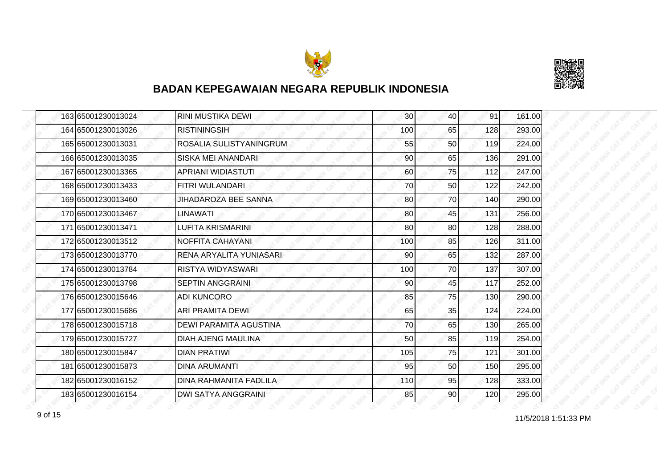



|  | 163 65001230013024 | RINI MUSTIKA DEWI             | 30 <sup>1</sup> | 40 | 91  | 161.00 |
|--|--------------------|-------------------------------|-----------------|----|-----|--------|
|  | 164 65001230013026 | <b>RISTININGSIH</b>           | 100             | 65 | 128 | 293.00 |
|  | 165 65001230013031 | ROSALIA SULISTYANINGRUM       | 55              | 50 | 119 | 224.00 |
|  | 166 65001230013035 | SISKA MEI ANANDARI            | 90              | 65 | 136 | 291.00 |
|  | 167 65001230013365 | <b>APRIANI WIDIASTUTI</b>     | 60              | 75 | 112 | 247.00 |
|  | 168 65001230013433 | FITRI WULANDARI               | 70              | 50 | 122 | 242.00 |
|  | 169 65001230013460 | <b>JIHADAROZA BEE SANNA</b>   | 80              | 70 | 140 | 290.00 |
|  | 170 65001230013467 | LINAWATI                      | 80              | 45 | 131 | 256.00 |
|  | 171 65001230013471 | <b>LUFITA KRISMARINI</b>      | 80              | 80 | 128 | 288.00 |
|  | 172 65001230013512 | <b>NOFFITA CAHAYANI</b>       | 100             | 85 | 126 | 311.00 |
|  | 173 65001230013770 | RENA ARYALITA YUNIASARI       | 90              | 65 | 132 | 287.00 |
|  | 174 65001230013784 | RISTYA WIDYASWARI             | 100             | 70 | 137 | 307.00 |
|  | 175 65001230013798 | <b>SEPTIN ANGGRAINI</b>       | 90              | 45 | 117 | 252.00 |
|  | 176 65001230015646 | <b>ADI KUNCORO</b>            | 85              | 75 | 130 | 290.00 |
|  | 177 65001230015686 | ARI PRAMITA DEWI              | 65              | 35 | 124 | 224.00 |
|  | 178 65001230015718 | <b>DEWI PARAMITA AGUSTINA</b> | 70              | 65 | 130 | 265.00 |
|  | 179 65001230015727 | <b>DIAH AJENG MAULINA</b>     | 50              | 85 | 119 | 254.00 |
|  | 180 65001230015847 | <b>DIAN PRATIWI</b>           | 105             | 75 | 121 | 301.00 |
|  | 181 65001230015873 | <b>DINA ARUMANTI</b>          | 95              | 50 | 150 | 295.00 |
|  | 182 65001230016152 | DINA RAHMANITA FADLILA        | 110             | 95 | 128 | 333.00 |
|  | 183 65001230016154 | <b>DWI SATYA ANGGRAINI</b>    | 85              | 90 | 120 | 295.00 |

11/5/2018 1:51:33 PM 9 of 15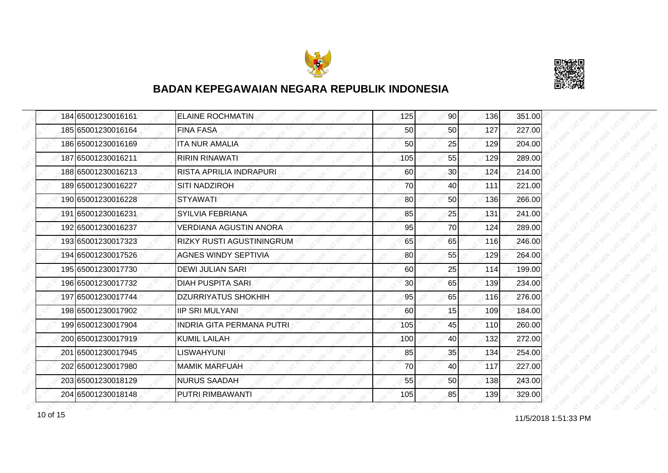



| 184 65001230016161 | <b>ELAINE ROCHMATIN</b>          | 125             | 90              | 136 | 351.00 |
|--------------------|----------------------------------|-----------------|-----------------|-----|--------|
| 185 65001230016164 | <b>FINA FASA</b>                 | 50              | 50              | 127 | 227.00 |
| 186 65001230016169 | <b>ITA NUR AMALIA</b>            | 50              | 25              | 129 | 204.00 |
| 187 65001230016211 | <b>RIRIN RINAWATI</b>            | 105             | 55              | 129 | 289.00 |
| 188 65001230016213 | RISTA APRILIA INDRAPURI          | 60              | 30 <sub>l</sub> | 124 | 214.00 |
| 189 65001230016227 | <b>SITI NADZIROH</b>             | 70              | 40              | 111 | 221.00 |
| 190 65001230016228 | <b>STYAWATI</b>                  | 80              | 50              | 136 | 266.00 |
| 191 65001230016231 | <b>SYILVIA FEBRIANA</b>          | 85              | 25              | 131 | 241.00 |
| 192 65001230016237 | VERDIANA AGUSTIN ANORA           | 95              | 70              | 124 | 289.00 |
| 193 65001230017323 | RIZKY RUSTI AGUSTININGRUM        | 65              | 65              | 116 | 246.00 |
| 194 65001230017526 | <b>AGNES WINDY SEPTIVIA</b>      | 80              | 55              | 129 | 264.00 |
| 195 65001230017730 | <b>DEWI JULIAN SARI</b>          | 60              | 25              | 114 | 199.00 |
| 196 65001230017732 | <b>DIAH PUSPITA SARI</b>         | 30 <sub>0</sub> | 65              | 139 | 234.00 |
| 197 65001230017744 | <b>DZURRIYATUS SHOKHIH</b>       | 95              | 65              | 116 | 276.00 |
| 198 65001230017902 | <b>IIP SRI MULYANI</b>           | 60              | 15              | 109 | 184.00 |
| 199 65001230017904 | <b>INDRIA GITA PERMANA PUTRI</b> | 105             | 45              | 110 | 260.00 |
| 200 65001230017919 | <b>KUMIL LAILAH</b>              | 100             | 40              | 132 | 272.00 |
| 201 65001230017945 | <b>LISWAHYUNI</b>                | 85              | 35              | 134 | 254.00 |
| 202 65001230017980 | <b>MAMIK MARFUAH</b>             | 70              | 40              | 117 | 227.00 |
| 203 65001230018129 | <b>NURUS SAADAH</b>              | 55              | 50              | 138 | 243.00 |
| 204 65001230018148 | PUTRI RIMBAWANTI                 | 105             | 85              | 139 | 329.00 |

11/5/2018 1:51:33 PM 10 of 15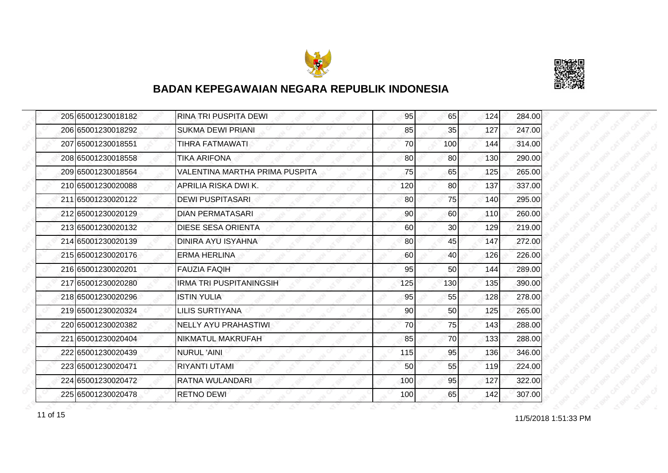



|  | 205 65001230018182 | RINA TRI PUSPITA DEWI          | 95  | 65  | 124 | 284.00 |
|--|--------------------|--------------------------------|-----|-----|-----|--------|
|  | 206 65001230018292 | <b>SUKMA DEWI PRIANI</b>       | 85  | 35  | 127 | 247.00 |
|  | 207 65001230018551 | TIHRA FATMAWATI                | 70  | 100 | 144 | 314.00 |
|  | 208 65001230018558 | <b>TIKA ARIFONA</b>            | 80  | 80  | 130 | 290.00 |
|  | 209 65001230018564 | VALENTINA MARTHA PRIMA PUSPITA | 75  | 65  | 125 | 265.00 |
|  | 210 65001230020088 | APRILIA RISKA DWI K.           | 120 | 80  | 137 | 337.00 |
|  | 211 65001230020122 | <b>DEWI PUSPITASARI</b>        | 80  | 75  | 140 | 295.00 |
|  | 212 65001230020129 | <b>DIAN PERMATASARI</b>        | 90  | 60  | 110 | 260.00 |
|  | 213 65001230020132 | <b>DIESE SESA ORIENTA</b>      | 60  | 30  | 129 | 219.00 |
|  | 214 65001230020139 | DINIRA AYU ISYAHNA             | 80  | 45  | 147 | 272.00 |
|  | 215 65001230020176 | <b>ERMA HERLINA</b>            | 60  | 40  | 126 | 226.00 |
|  | 216 65001230020201 | <b>FAUZIA FAQIH</b>            | 95  | 50  | 144 | 289.00 |
|  | 217 65001230020280 | <b>IRMA TRI PUSPITANINGSIH</b> | 125 | 130 | 135 | 390.00 |
|  | 218 65001230020296 | <b>ISTIN YULIA</b>             | 95  | 55  | 128 | 278.00 |
|  | 219 65001230020324 | <b>LILIS SURTIYANA</b>         | 90  | 50  | 125 | 265.00 |
|  | 220 65001230020382 | <b>NELLY AYU PRAHASTIWI</b>    | 70  | 75  | 143 | 288.00 |
|  | 221 65001230020404 | NIKMATUL MAKRUFAH              | 85  | 70  | 133 | 288.00 |
|  | 222 65001230020439 | <b>NURUL 'AINI</b>             | 115 | 95  | 136 | 346.00 |
|  | 223 65001230020471 | <b>RIYANTI UTAMI</b>           | 50  | 55  | 119 | 224.00 |
|  | 224 65001230020472 | RATNA WULANDARI                | 100 | 95  | 127 | 322.00 |
|  | 225 65001230020478 | <b>RETNO DEWI</b>              | 100 | 65  | 142 | 307.00 |

11/5/2018 1:51:33 PM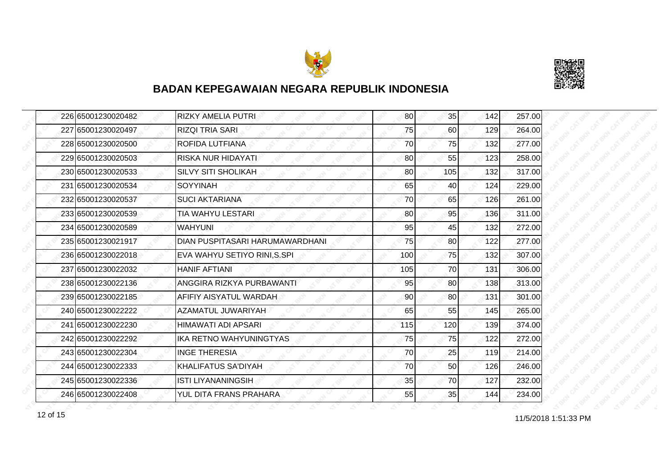



| 226 65001230020482 | <b>RIZKY AMELIA PUTRI</b>       | 80  | 35  | 142 | 257.00 |
|--------------------|---------------------------------|-----|-----|-----|--------|
| 227 65001230020497 | <b>RIZQI TRIA SARI</b>          | 75  | 60  | 129 | 264.00 |
| 228 65001230020500 | ROFIDA LUTFIANA                 | 70  | 75  | 132 | 277.00 |
| 229 65001230020503 | <b>RISKA NUR HIDAYATI</b>       | 80  | 55  | 123 | 258.00 |
| 230 65001230020533 | <b>SILVY SITI SHOLIKAH</b>      | 80  | 105 | 132 | 317.00 |
| 231 65001230020534 | <b>SOYYINAH</b>                 | 65  | 40  | 124 | 229.00 |
| 232 65001230020537 | <b>SUCI AKTARIANA</b>           | 70  | 65  | 126 | 261.00 |
| 233 65001230020539 | TIA WAHYU LESTARI               | 80  | 95  | 136 | 311.00 |
| 234 65001230020589 | <b>WAHYUNI</b>                  | 95  | 45  | 132 | 272.00 |
| 235 65001230021917 | DIAN PUSPITASARI HARUMAWARDHANI | 75  | 80  | 122 | 277.00 |
| 236 65001230022018 | EVA WAHYU SETIYO RINI, S.SPI    | 100 | 75  | 132 | 307.00 |
| 237 65001230022032 | <b>HANIF AFTIANI</b>            | 105 | 70  | 131 | 306.00 |
| 238 65001230022136 | ANGGIRA RIZKYA PURBAWANTI       | 95  | 80  | 138 | 313.00 |
| 239 65001230022185 | AFIFIY AISYATUL WARDAH          | 90  | 80  | 131 | 301.00 |
| 240 65001230022222 | AZAMATUL JUWARIYAH              | 65  | 55  | 145 | 265.00 |
| 241 65001230022230 | HIMAWATI ADI APSARI             | 115 | 120 | 139 | 374.00 |
| 242 65001230022292 | IKA RETNO WAHYUNINGTYAS         | 75  | 75  | 122 | 272.00 |
| 243 65001230022304 | <b>INGE THERESIA</b>            | 70  | 25  | 119 | 214.00 |
| 244 65001230022333 | <b>KHALIFATUS SA'DIYAH</b>      | 70  | 50  | 126 | 246.00 |
| 245 65001230022336 | ISTI LIYANANINGSIH              | 35  | 70  | 127 | 232.00 |
| 246 65001230022408 | YUL DITA FRANS PRAHARA          | 55  | 35  | 144 | 234.00 |

11/5/2018 1:51:33 PM 12 of 15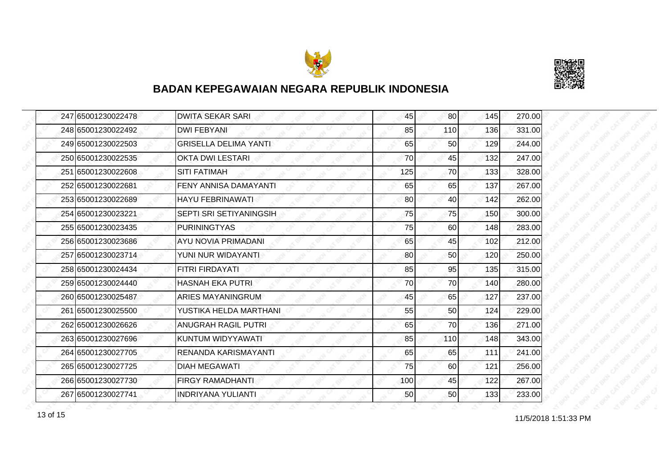



| 247 65001230022478 | <b>DWITA SEKAR SARI</b>      | 45  | 80  | 145 | 270.00 |
|--------------------|------------------------------|-----|-----|-----|--------|
| 248 65001230022492 | <b>DWI FEBYANI</b>           | 85  | 110 | 136 | 331.00 |
| 249 65001230022503 | <b>GRISELLA DELIMA YANTI</b> | 65  | 50  | 129 | 244.00 |
| 250 65001230022535 | <b>OKTA DWI LESTARI</b>      | 70  | 45  | 132 | 247.00 |
| 251 65001230022608 | <b>SITI FATIMAH</b>          | 125 | 70  | 133 | 328.00 |
| 252 65001230022681 | FENY ANNISA DAMAYANTI        | 65  | 65  | 137 | 267.00 |
| 253 65001230022689 | <b>HAYU FEBRINAWATI</b>      | 80  | 40  | 142 | 262.00 |
| 254 65001230023221 | SEPTI SRI SETIYANINGSIH      | 75  | 75  | 150 | 300.00 |
| 255 65001230023435 | <b>PURININGTYAS</b>          | 75  | 60  | 148 | 283.00 |
| 256 65001230023686 | <b>AYU NOVIA PRIMADANI</b>   | 65  | 45  | 102 | 212.00 |
| 257 65001230023714 | YUNI NUR WIDAYANTI           | 80  | 50  | 120 | 250.00 |
| 258 65001230024434 | <b>FITRI FIRDAYATI</b>       | 85  | 95  | 135 | 315.00 |
| 259 65001230024440 | <b>HASNAH EKA PUTRI</b>      | 70  | 70  | 140 | 280.00 |
| 260 65001230025487 | <b>ARIES MAYANINGRUM</b>     | 45  | 65  | 127 | 237.00 |
| 261 65001230025500 | YUSTIKA HELDA MARTHANI       | 55  | 50  | 124 | 229.00 |
| 262 65001230026626 | <b>ANUGRAH RAGIL PUTRI</b>   | 65  | 70  | 136 | 271.00 |
| 263 65001230027696 | KUNTUM WIDYYAWATI            | 85  | 110 | 148 | 343.00 |
| 264 65001230027705 | RENANDA KARISMAYANTI         | 65  | 65  | 111 | 241.00 |
| 265 65001230027725 | <b>DIAH MEGAWATI</b>         | 75  | 60  | 121 | 256.00 |
| 266 65001230027730 | <b>FIRGY RAMADHANTI</b>      | 100 | 45  | 122 | 267.00 |
| 267 65001230027741 | <b>INDRIYANA YULIANTI</b>    | 50  | 50  | 133 | 233.00 |

13 of 15<br>
11/5/2018 1:51:33 PM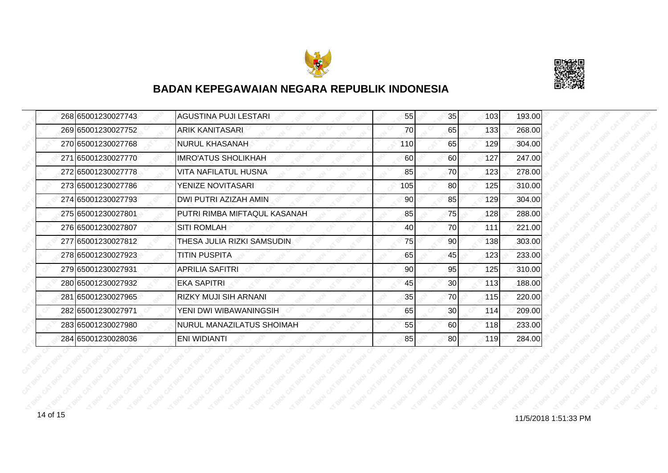



|  | 268 65001230027743 | <b>AGUSTINA PUJI LESTARI</b> | 55  | 35              | 103 | 193.00 |
|--|--------------------|------------------------------|-----|-----------------|-----|--------|
|  | 269 65001230027752 | ARIK KANITASARI              | 70  | 65              | 133 | 268.00 |
|  | 270 65001230027768 | NURUL KHASANAH               | 110 | 65              | 129 | 304.00 |
|  | 271 65001230027770 | <b>IMRO'ATUS SHOLIKHAH</b>   | 60  | 60              | 127 | 247.00 |
|  | 272 65001230027778 | VITA NAFILATUL HUSNA         | 85  | 70              | 123 | 278.00 |
|  | 273165001230027786 | YENIZE NOVITASARI            | 105 | 80              | 125 | 310.00 |
|  | 274 65001230027793 | DWI PUTRI AZIZAH AMIN        | 90  | 85              | 129 | 304.00 |
|  | 275 65001230027801 | PUTRI RIMBA MIFTAQUL KASANAH | 85  | 75              | 128 | 288.00 |
|  | 276 65001230027807 | <b>SITI ROMLAH</b>           | 40  | 70              | 111 | 221.00 |
|  | 277 65001230027812 | THESA JULIA RIZKI SAMSUDIN   | 75  | 90 <sub>0</sub> | 138 | 303.00 |
|  | 278 65001230027923 | <b>TITIN PUSPITA</b>         | 65  | 45              | 123 | 233.00 |
|  | 279 65001230027931 | <b>APRILIA SAFITRI</b>       | 90  | 95              | 125 | 310.00 |
|  | 280 65001230027932 | <b>EKA SAPITRI</b>           | 45  | 30 <sup>1</sup> | 113 | 188.00 |
|  | 281 65001230027965 | RIZKY MUJI SIH ARNANI        | 35  | 70              | 115 | 220.00 |
|  | 282 65001230027971 | YENI DWI WIBAWANINGSIH       | 65  | 30              | 114 | 209.00 |
|  | 283 65001230027980 | NURUL MANAZILATUS SHOIMAH    | 55  | 60              | 118 | 233.00 |
|  | 284 65001230028036 | <b>ENI WIDIANTI</b>          | 85  | 80              | 119 | 284.00 |